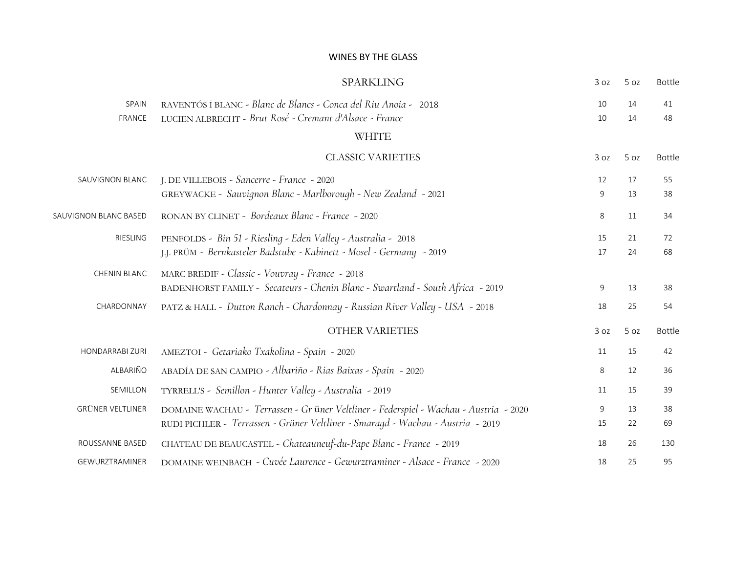#### WINES BY THE GLASS

|                         | <b>SPARKLING</b>                                                                                                                                                         | 3 oz     | 5 oz     | <b>Bottle</b> |
|-------------------------|--------------------------------------------------------------------------------------------------------------------------------------------------------------------------|----------|----------|---------------|
| SPAIN<br>FRANCE         | RAVENTÓS I BLANC - Blanc de Blancs - Conca del Riu Anoia - 2018<br>LUCIEN ALBRECHT - Brut Rosé - Cremant d'Alsace - France                                               | 10<br>10 | 14<br>14 | 41<br>48      |
|                         | <b>WHITE</b>                                                                                                                                                             |          |          |               |
|                         | <b>CLASSIC VARIETIES</b>                                                                                                                                                 | 3 oz     | 5 oz     | <b>Bottle</b> |
| SAUVIGNON BLANC         | J. DE VILLEBOIS - Sancerre - France - 2020<br>GREYWACKE - Sauvignon Blanc - Marlborough - New Zealand - 2021                                                             | 12<br>9  | 17<br>13 | 55<br>38      |
| SAUVIGNON BLANC BASED   | RONAN BY CLINET - Bordeaux Blanc - France - 2020                                                                                                                         | 8        | 11       | 34            |
| RIESLING                | PENFOLDS - Bin 51 - Riesling - Eden Valley - Australia - 2018<br>J.J. PRÜM - Bernkasteler Badstube - Kabinett - Mosel - Germany - 2019                                   | 15<br>17 | 21<br>24 | 72<br>68      |
| CHENIN BLANC            | MARC BREDIF - Classic - Vouvray - France - 2018<br>BADENHORST FAMILY - Secateurs - Chenin Blanc - Swartland - South Africa - 2019                                        | 9        | 13       | 38            |
| CHARDONNAY              | PATZ & HALL - Dutton Ranch - Chardonnay - Russian River Valley - USA - 2018                                                                                              | 18       | 25       | 54            |
|                         | <b>OTHER VARIETIES</b>                                                                                                                                                   | 3 oz     | 5 oz     | <b>Bottle</b> |
| HONDARRABI ZURI         | AMEZTOI - Getariako Txakolina - Spain - 2020                                                                                                                             | 11       | 15       | 42            |
| ALBARIÑO                | ABADÍA DE SAN CAMPIO - Albariño - Rias Baixas - Spain - 2020                                                                                                             | 8        | 12       | 36            |
| SEMILLON                | TYRRELL'S - Semillon - Hunter Valley - Australia - 2019                                                                                                                  | 11       | 15       | 39            |
| <b>GRÜNER VELTLINER</b> | DOMAINE WACHAU - Terrassen - Gr üner Veltliner - Federspiel - Wachau - Austria - 2020<br>RUDI PICHLER - Terrassen - Grüner Veltliner - Smaragd - Wachau - Austria - 2019 | 9<br>15  | 13<br>22 | 38<br>69      |
| ROUSSANNE BASED         | CHATEAU DE BEAUCASTEL - Chateauneuf-du-Pape Blanc - France - 2019                                                                                                        | 18       | 26       | 130           |
| GEWURZTRAMINER          | DOMAINE WEINBACH - Cuvée Laurence - Gewurztraminer - Alsace - France - 2020                                                                                              | 18       | 25       | 95            |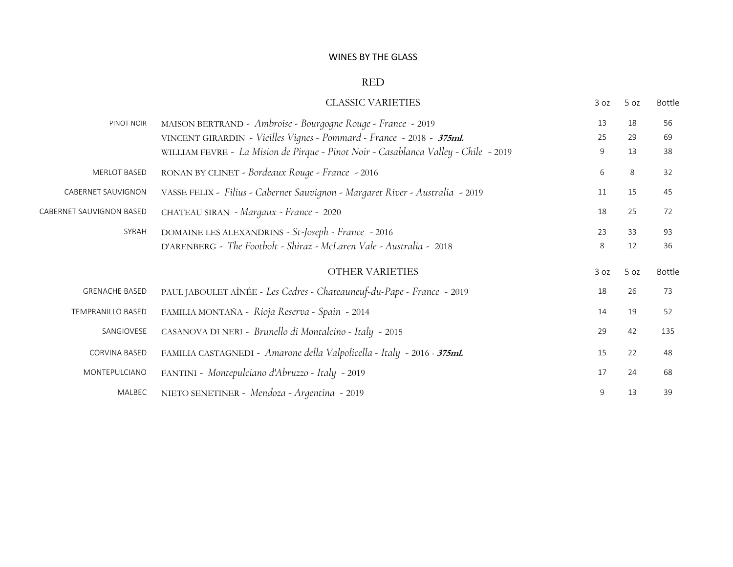#### WINES BY THE GLASS

#### RED

|                          | <b>CLASSIC VARIETIES</b>                                                            | 3 oz | 5 oz | Bottle        |
|--------------------------|-------------------------------------------------------------------------------------|------|------|---------------|
| PINOT NOIR               | MAISON BERTRAND - Ambroise - Bourgogne Rouge - France - 2019                        | 13   | 18   | 56            |
|                          | VINCENT GIRARDIN - Vieilles Vignes - Pommard - France - 2018 - 375ml.               | 25   | 29   | 69            |
|                          | WILLIAM FEVRE - La Mision de Pirque - Pinot Noir - Casablanca Valley - Chile - 2019 | 9    | 13   | 38            |
| <b>MERLOT BASED</b>      | RONAN BY CLINET - Bordeaux Rouge - France - 2016                                    | 6    | 8    | 32            |
| CABERNET SAUVIGNON       | VASSE FELIX - Filius - Cabernet Sauvignon - Margaret River - Australia - 2019       | 11   | 15   | 45            |
| CABERNET SAUVIGNON BASED | CHATEAU SIRAN - Margaux - France - 2020                                             | 18   | 25   | 72            |
| SYRAH                    | DOMAINE LES ALEXANDRINS - St-Joseph - France - 2016                                 | 23   | 33   | 93            |
|                          | D'ARENBERG - The Footbolt - Shiraz - McLaren Vale - Australia - 2018                | 8    | 12   | 36            |
|                          | OTHER VARIETIES                                                                     | 3 oz | 5 oz | <b>Bottle</b> |
| <b>GRENACHE BASED</b>    | PAUL JABOULET AÎNÉE - Les Cedres - Chateauneuf-du-Pape - France - 2019              | 18   | 26   | 73            |
| <b>TEMPRANILLO BASED</b> | FAMILIA MONTAÑA - Rioja Reserva - Spain - 2014                                      | 14   | 19   | 52            |
| SANGIOVESE               | CASANOVA DI NERI - Brunello di Montalcino - Italy - 2015                            | 29   | 42   | 135           |
| <b>CORVINA BASED</b>     | FAMILIA CASTAGNEDI - Amarone della Valpolicella - Italy - 2016 - 375ml.             | 15   | 22   | 48            |
| MONTEPULCIANO            | FANTINI - Montepulciano d'Abruzzo - Italy - 2019                                    | 17   | 24   | 68            |
| MALBEC                   | NIETO SENETINER - Mendoza - Argentina - 2019                                        | 9    | 13   | 39            |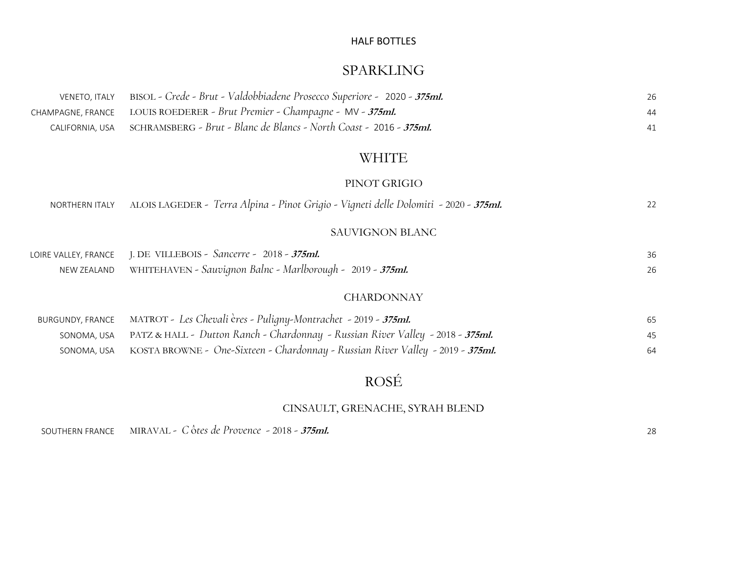## HALF BOTTLES

# SPARKLING

| VENETO, ITALY BISOL - Crede - Brut - Valdobbiadene Prosecco Superiore - 2020 - 375ml.   | 26 |
|-----------------------------------------------------------------------------------------|----|
| CHAMPAGNE, FRANCE       LOUIS ROEDERER - Brut Premier - Champagne -  MV - <b>375ml.</b> | 44 |
| CALIFORNIA, USA SCHRAMSBERG - Brut - Blanc de Blancs - North Coast - 2016 - 375ml.      | 41 |

# WHITE

### PINOT GRIGIO

| NORTHERN ITALY ALOIS LAGEDER - Terra Alpina - Pinot Grigio - Vigneti delle Dolomiti - 2020 - 375ml.                                       | 22       |
|-------------------------------------------------------------------------------------------------------------------------------------------|----------|
| <b>SAUVIGNON BLANC</b>                                                                                                                    |          |
| LOIRE VALLEY, FRANCE J. DE VILLEBOIS - Sancerre - 2018 - 375ml.<br>NEW ZEALAND WHITEHAVEN - Sauvignon Balnc - Marlborough - 2019 - 375ml. | 36<br>26 |
| <b>CHARDONNAY</b>                                                                                                                         |          |
|                                                                                                                                           |          |

| BURGUNDY, FRANCE MATROT - Les Chevali ères - Puligny-Montrachet - 2019 - 375ml.            | 65 |
|--------------------------------------------------------------------------------------------|----|
| sonoma, usa PATZ & HALL - Dutton Ranch - Chardonnay - Russian River Valley - 2018 - 375ml. | 45 |
| sonoma, usa KOSTA BROWNE - One-Sixteen - Chardonnay - Russian River Valley - 2019 - 375ml. | 64 |

# ROSÉ

# CINSAULT, GRENACHE, SYRAH BLEND

SOUTHERN FRANCE MIRAVAL *- C* ô*tes de Provence* - <sup>2018</sup>- **375ml.** <sup>28</sup>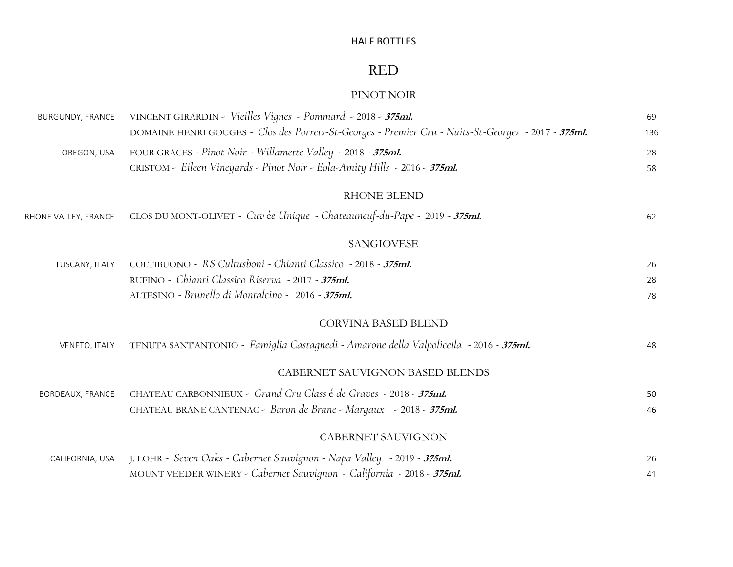### HALF BOTTLES

# RED

### PINOT NOIR

| <b>BURGUNDY, FRANCE</b> | VINCENT GIRARDIN - Vieilles Vignes - Pommard - 2018 - 375ml.<br>DOMAINE HENRI GOUGES - Clos des Porrets-St-Georges - Premier Cru - Nuits-St-Georges - 2017 - 375ml. | 69<br>136 |
|-------------------------|---------------------------------------------------------------------------------------------------------------------------------------------------------------------|-----------|
| OREGON, USA             | FOUR GRACES - Pinot Noir - Willamette Valley - 2018 - 375ml.<br>CRISTOM - Eileen Vineyards - Pinot Noir - Eola-Amity Hills - 2016 - 375ml.                          | 28<br>58  |
|                         | <b>RHONE BLEND</b>                                                                                                                                                  |           |
| RHONE VALLEY, FRANCE    | CLOS DU MONT-OLIVET - Cuv ée Unique - Chateauneuf-du-Pape - 2019 - 375ml.                                                                                           | 62        |
|                         | <b>SANGIOVESE</b>                                                                                                                                                   |           |
| TUSCANY, ITALY          | COLTIBUONO - RS Cultusboni - Chianti Classico - 2018 - 375ml.                                                                                                       | 26        |
|                         | RUFINO - Chianti Classico Riserva - 2017 - 375ml.                                                                                                                   | 28        |
|                         | ALTESINO - Brunello di Montalcino - 2016 - 375ml.                                                                                                                   | 78        |
|                         | <b>CORVINA BASED BLEND</b>                                                                                                                                          |           |
| VENETO, ITALY           | TENUTA SANT'ANTONIO - Famiglia Castagnedi - Amarone della Valpolicella - 2016 - 375ml.                                                                              | 48        |
|                         | CABERNET SAUVIGNON BASED BLENDS                                                                                                                                     |           |
| <b>BORDEAUX, FRANCE</b> | CHATEAU CARBONNIEUX - Grand Cru Class é de Graves - 2018 - 375ml.                                                                                                   | 50        |
|                         | CHATEAU BRANE CANTENAC - Baron de Brane - Margaux - 2018 - 375ml.                                                                                                   | 46        |
|                         | <b>CABERNET SAUVIGNON</b>                                                                                                                                           |           |
| CALIFORNIA, USA         | J. LOHR - Seven Oaks - Cabernet Sauvignon - Napa Valley - 2019 - 375ml.                                                                                             | 26        |
|                         | MOUNT VEEDER WINERY - Cabernet Sauvignon - California - 2018 - 375ml.                                                                                               | 41        |
|                         |                                                                                                                                                                     |           |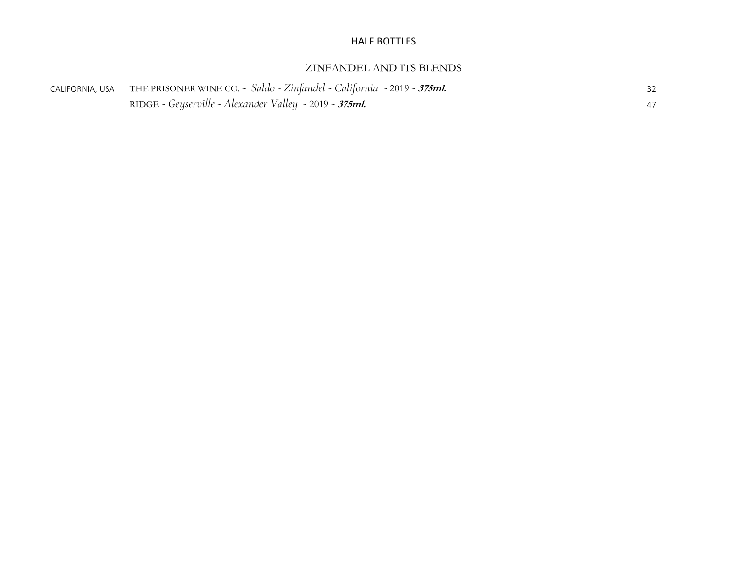#### HALF BOTTLES

#### ZINFANDEL AND ITS BLENDS

| CALIFORNIA, USA THE PRISONER WINE CO. - Saldo - Zinfandel - California - 2019 - 375ml. |    |
|----------------------------------------------------------------------------------------|----|
| RIDGE - Geyserville - Alexander Valley - 2019 - <b>375ml.</b>                          | 47 |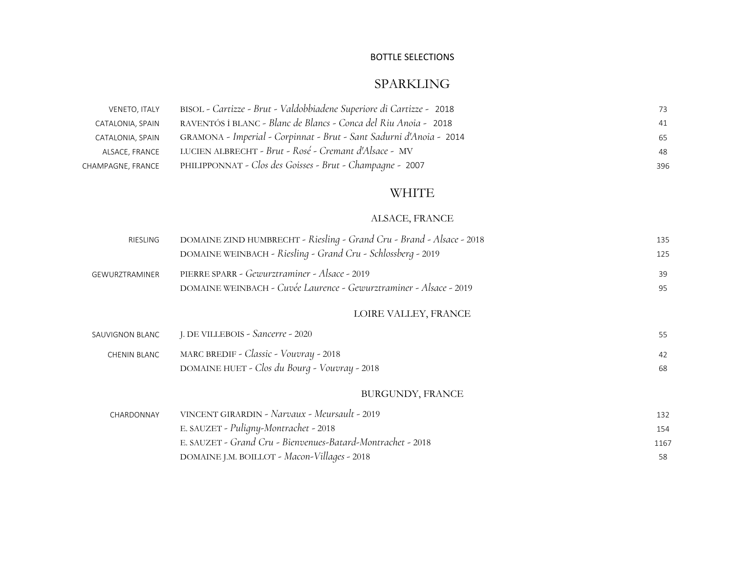# SPARKLING

| VENETO, ITALY     | BISOL - Cartizze - Brut - Valdobbiadene Superiore di Cartizze - 2018 | 73  |
|-------------------|----------------------------------------------------------------------|-----|
| CATALONIA, SPAIN  | RAVENTÓS I BLANC - Blanc de Blancs - Conca del Riu Anoia - 2018      | 41  |
| CATALONIA, SPAIN  | GRAMONA - Imperial - Corpinnat - Brut - Sant Sadurni d'Anoia - 2014  | 65  |
| ALSACE, FRANCE    | LUCIEN ALBRECHT - Brut - Rosé - Cremant d'Alsace - MV                | 48  |
| CHAMPAGNE, FRANCE | PHILIPPONNAT - Clos des Goisses - Brut - Champagne - 2007            | 396 |

## WHITE

# ALSACE, FRANCE

| RIESLING        | DOMAINE ZIND HUMBRECHT - Riesling - Grand Cru - Brand - Alsace - 2018<br>DOMAINE WEINBACH - Riesling - Grand Cru - Schlossberg - 2019 | 135<br>125 |
|-----------------|---------------------------------------------------------------------------------------------------------------------------------------|------------|
| GEWURZTRAMINER  | PIERRE SPARR - Gewurztraminer - Alsace - 2019<br>DOMAINE WEINBACH - Cuvée Laurence - Gewurztraminer - Alsace - 2019                   | 39<br>95   |
|                 | LOIRE VALLEY, FRANCE                                                                                                                  |            |
| SAUVIGNON BLANC | J. DE VILLEBOIS - Sancerre - 2020                                                                                                     | 55         |
| CHENIN BLANC    | MARC BREDIF - Classic - Vouvray - 2018<br>DOMAINE HUET - Clos du Bourg - Vouvray - 2018                                               | 42<br>68   |
|                 | <b>BURGUNDY, FRANCE</b>                                                                                                               |            |
| CHARDONNAY      | VINCENT GIRARDIN - Narvaux - Meursault - 2019                                                                                         | 132        |
|                 | E. SAUZET - Puligny-Montrachet - 2018                                                                                                 | 154        |
|                 | E. SAUZET - Grand Cru - Bienvenues-Batard-Montrachet - 2018                                                                           | 1167       |
|                 | DOMAINE J.M. BOILLOT - Macon-Villages - 2018                                                                                          | 58         |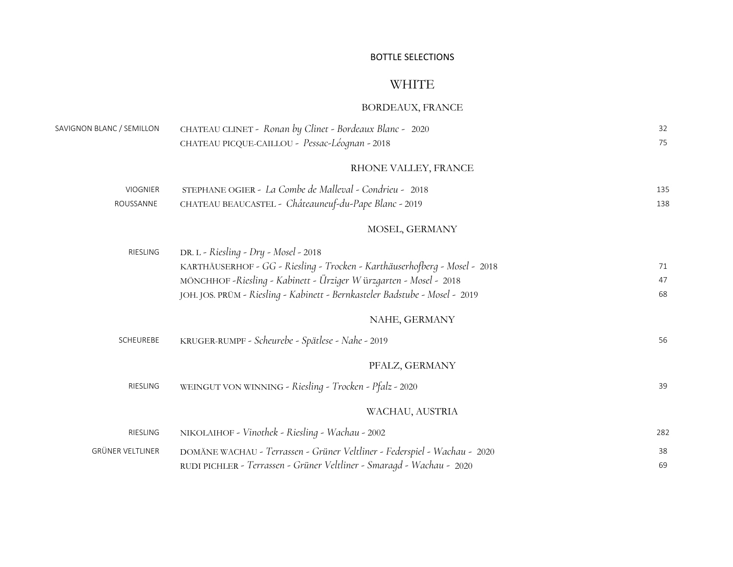# WHITE

# BORDEAUX, FRANCE

| SAVIGNON BLANC / SEMILLON | CHATEAU CLINET - Ronan by Clinet - Bordeaux Blanc - 2020                    | 32  |
|---------------------------|-----------------------------------------------------------------------------|-----|
|                           | CHATEAU PICQUE-CAILLOU - Pessac-Léognan - 2018                              | 75  |
|                           | RHONE VALLEY, FRANCE                                                        |     |
| <b>VIOGNIER</b>           | STEPHANE OGIER - La Combe de Malleval - Condrieu - 2018                     | 135 |
| ROUSSANNE                 | CHATEAU BEAUCASTEL - Châteauneuf-du-Pape Blanc - 2019                       | 138 |
|                           | MOSEL, GERMANY                                                              |     |
| RIESLING                  | DR. L - Riesling - Dry - Mosel - 2018                                       |     |
|                           | KARTHÄUSERHOF - GG - Riesling - Trocken - Karthäuserhofberg - Mosel - 2018  | 71  |
|                           | MÖNCHHOF -Riesling - Kabinett - Ürziger Würzgarten - Mosel - 2018           | 47  |
|                           | JOH. JOS. PRÜM - Riesling - Kabinett - Bernkasteler Badstube - Mosel - 2019 | 68  |
|                           | NAHE, GERMANY                                                               |     |
| SCHEUREBE                 | KRUGER-RUMPF - Scheurebe - Spätlese - Nahe - 2019                           | 56  |
|                           | PFALZ, GERMANY                                                              |     |
| <b>RIESLING</b>           | WEINGUT VON WINNING - Riesling - Trocken - Pfalz - 2020                     | 39  |
|                           | WACHAU, AUSTRIA                                                             |     |
| RIESLING                  | NIKOLAIHOF - Vinothek - Riesling - Wachau - 2002                            | 282 |
| GRÜNER VELTLINER          | DOMÄNE WACHAU - Terrassen - Grüner Veltliner - Federspiel - Wachau - 2020   | 38  |
|                           | RUDI PICHLER - Terrassen - Grüner Veltliner - Smaragd - Wachau - 2020       | 69  |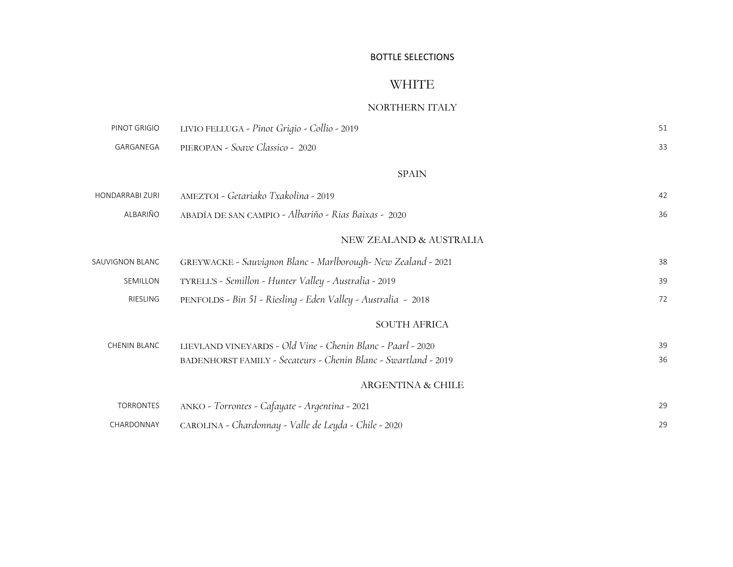# WHITE

#### NORTHERN ITALY

| PINOT GRIGIO           | LIVIO FELLUGA - Pinot Grigio - Collio - 2019                    | 51 |
|------------------------|-----------------------------------------------------------------|----|
| GARGANEGA              | PIEROPAN - Soave Classico - 2020                                | 33 |
|                        | <b>SPAIN</b>                                                    |    |
| <b>HONDARRABI ZURI</b> | AMEZTOI - Getariako Txakolina - 2019                            | 42 |
| ALBARIÑO               | ABADÍA DE SAN CAMPIO - Albariño - Rias Baixas - 2020            | 36 |
|                        | NEW ZEALAND & AUSTRALIA                                         |    |
| SAUVIGNON BLANC        | GREYWACKE - Sauvignon Blanc - Marlborough- New Zealand - 2021   | 38 |
| SEMILLON               | TYRELL'S - Semillon - Hunter Valley - Australia - 2019          | 39 |
| RIESLING               | PENFOLDS - Bin 51 - Riesling - Eden Valley - Australia - 2018   | 72 |
|                        | <b>SOUTH AFRICA</b>                                             |    |
| <b>CHENIN BLANC</b>    | LIEVLAND VINEYARDS - Old Vine - Chenin Blanc - Paarl - 2020     | 39 |
|                        | BADENHORST FAMILY - Secateurs - Chenin Blanc - Swartland - 2019 | 36 |
|                        | <b>ARGENTINA &amp; CHILE</b>                                    |    |
| <b>TORRONTES</b>       | ANKO - Torrontes - Cafayate - Argentina - 2021                  | 29 |
| CHARDONNAY             | CAROLINA - Chardonnay - Valle de Leyda - Chile - 2020           | 29 |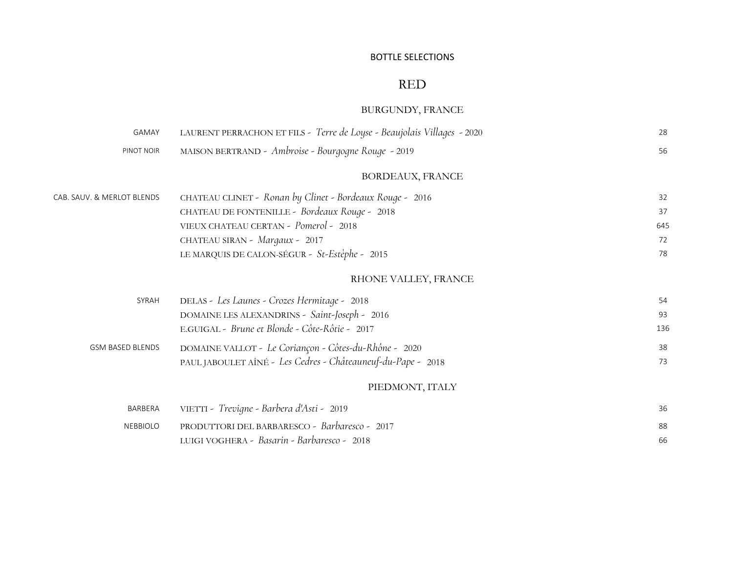# RED

# BURGUNDY, FRANCE

| GAMAY                      | LAURENT PERRACHON ET FILS - Terre de Loyse - Beaujolais Villages - 2020 | 28  |
|----------------------------|-------------------------------------------------------------------------|-----|
| PINOT NOIR                 | MAISON BERTRAND - Ambroise - Bourgogne Rouge - 2019                     | 56  |
|                            | <b>BORDEAUX, FRANCE</b>                                                 |     |
| CAB. SAUV. & MERLOT BLENDS | CHATEAU CLINET - Ronan by Clinet - Bordeaux Rouge - 2016                | 32  |
|                            | CHATEAU DE FONTENILLE - Bordeaux Rouge - 2018                           | 37  |
|                            | VIEUX CHATEAU CERTAN - Pomerol - 2018                                   | 645 |
|                            | CHATEAU SIRAN - Margaux - 2017                                          | 72  |
|                            | LE MARQUIS DE CALON-SÉGUR - St-Estèphe - 2015                           | 78  |
|                            | RHONE VALLEY, FRANCE                                                    |     |
| SYRAH                      | DELAS - Les Launes - Crozes Hermitage - 2018                            | 54  |
|                            | DOMAINE LES ALEXANDRINS - Saint-Joseph - 2016                           | 93  |
|                            | E.GUIGAL - Brune et Blonde - Côte-Rôtie - 2017                          | 136 |
| GSM BASED BLENDS           | DOMAINE VALLOT - Le Coriançon - Côtes-du-Rhône - 2020                   | 38  |
|                            | PAUL JABOULET AÎNÉ - Les Cedres - Châteauneuf-du-Pape - 2018            | 73  |
|                            | PIEDMONT, ITALY                                                         |     |
| BARBERA                    | VIETTI - Trevigne - Barbera d'Asti - 2019                               | 36  |
| <b>NEBBIOLO</b>            | PRODUTTORI DEL BARBARESCO - Barbaresco - 2017                           | 88  |
|                            | LUIGI VOGHERA - Basarin - Barbaresco - 2018                             | 66  |
|                            |                                                                         |     |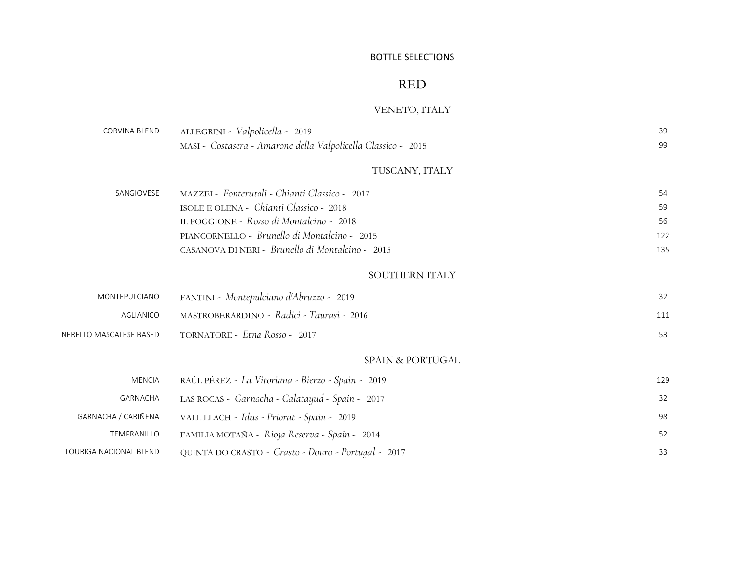## RED

# VENETO, ITALY

| CORVINA BLEND           | ALLEGRINI - Valpolicella - 2019                               | 39  |  |  |
|-------------------------|---------------------------------------------------------------|-----|--|--|
|                         | MASI - Costasera - Amarone della Valpolicella Classico - 2015 | 99  |  |  |
|                         | TUSCANY, ITALY                                                |     |  |  |
| SANGIOVESE              | MAZZEI - Fonterutoli - Chianti Classico - 2017                | 54  |  |  |
|                         | ISOLE E OLENA - Chianti Classico - 2018                       | 59  |  |  |
|                         | IL POGGIONE - Rosso di Montalcino - 2018                      | 56  |  |  |
|                         | PIANCORNELLO - Brunello di Montalcino - 2015                  | 122 |  |  |
|                         | CASANOVA DI NERI - Brunello di Montalcino - 2015              | 135 |  |  |
|                         | SOUTHERN ITALY                                                |     |  |  |
| MONTEPULCIANO           | FANTINI - Montepulciano d'Abruzzo - 2019                      | 32  |  |  |
| AGLIANICO               | MASTROBERARDINO - Radici - Taurasi - 2016                     | 111 |  |  |
| NERELLO MASCALESE BASED | TORNATORE - Etna Rosso - 2017                                 |     |  |  |
|                         | SPAIN & PORTUGAL                                              |     |  |  |
| <b>MENCIA</b>           | RAÚL PÉREZ - La Vitoriana - Bierzo - Spain - 2019             | 129 |  |  |
| GARNACHA                | LAS ROCAS - Garnacha - Calatayud - Spain - 2017               | 32  |  |  |
| GARNACHA / CARIÑENA     | VALL LLACH - Idus - Priorat - Spain - 2019                    | 98  |  |  |
| TEMPRANILLO             | FAMILIA MOTAÑA - Rioja Reserva - Spain - 2014                 | 52  |  |  |
| TOURIGA NACIONAL BLEND  | QUINTA DO CRASTO - Crasto - Douro - Portugal - 2017           | 33  |  |  |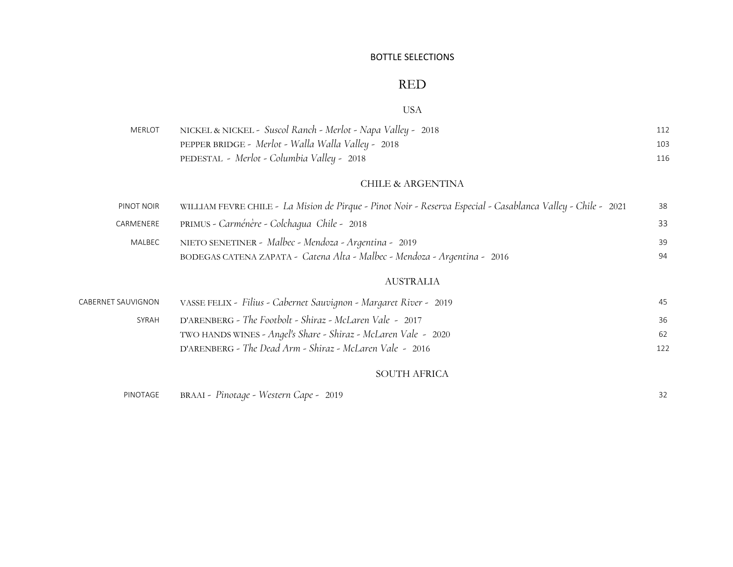## RED

#### USA

| <b>MERLOT</b> | NICKEL & NICKEL -  Suscol Ranch - Merlot - Napa Valley -   2018 | 112 |
|---------------|-----------------------------------------------------------------|-----|
|               | PEPPER BRIDGE - Merlot - Walla Walla Valley - 2018              | 103 |
|               | PEDESTAL - Merlot - Columbia Valley - 2018                      | 116 |

#### CHILE & ARGENTINA

| PINOT NOIR | WILLIAM FEVRE CHILE - La Mision de Pirque - Pinot Noir - Reserva Especial - Casablanca Valley - Chile - 2021 | 38 |
|------------|--------------------------------------------------------------------------------------------------------------|----|
| CARMENERE  | PRIMUS - Carménère - Colchaqua Chile - 2018                                                                  | 33 |
| MALBEC     | NIETO SENETINER - Malbec - Mendoza - Argentina - 2019                                                        | 39 |
|            | BODEGAS CATENA ZAPATA - Catena Alta - Malbec - Mendoza - Argentina - 2016                                    | 94 |

#### AUSTRALIA

| CABERNET SAUVIGNON | VASSE FELIX - Filius - Cabernet Sauvignon - Margaret River - 2019 | 45  |
|--------------------|-------------------------------------------------------------------|-----|
| SYRAH              | D'ARENBERG - The Footbolt - Shiraz - McLaren Vale - 2017          | 36  |
|                    | TWO HANDS WINES - Angel's Share - Shiraz - McLaren Vale - 2020    | 62  |
|                    | D'ARENBERG - The Dead Arm - Shiraz - McLaren Vale - 2016          | 122 |
|                    |                                                                   |     |

#### SOUTH AFRICA

| PINOTAGE |  |  | BRAAI - Pinotage - Western Cape - 2019 |  |  |  |  |
|----------|--|--|----------------------------------------|--|--|--|--|
|----------|--|--|----------------------------------------|--|--|--|--|